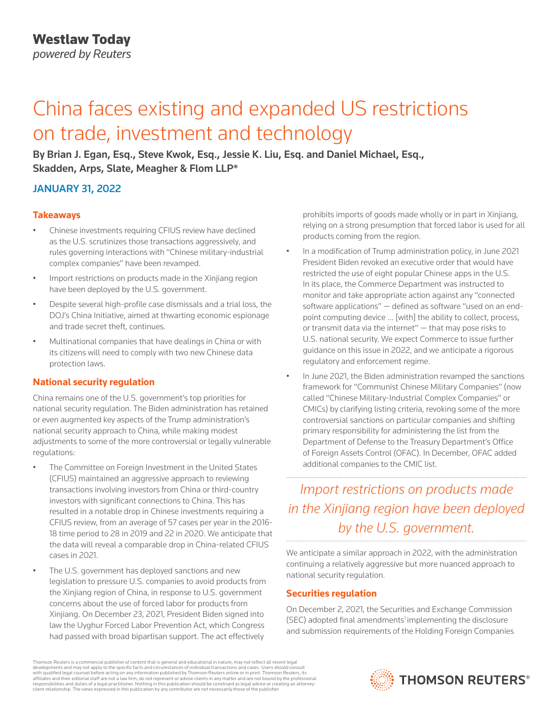*powered by Reuters*

# China faces existing and expanded US restrictions on trade, investment and technology

By Brian J. Egan, Esq., Steve Kwok, Esq., Jessie K. Liu, Esq. and Daniel Michael, Esq., Skadden, Arps, Slate, Meagher & Flom LLP\*

# JANUARY 31, 2022

### **Takeaways**

- Chinese investments requiring CFIUS review have declined as the U.S. scrutinizes those transactions aggressively, and rules governing interactions with "Chinese military-industrial complex companies" have been revamped.
- Import restrictions on products made in the Xinjiang region have been deployed by the U.S. government.
- Despite several high-profile case dismissals and a trial loss, the DOJ's China Initiative, aimed at thwarting economic espionage and trade secret theft, continues.
- Multinational companies that have dealings in China or with its citizens will need to comply with two new Chinese data protection laws.

## **National security regulation**

China remains one of the U.S. government's top priorities for national security regulation. The Biden administration has retained or even augmented key aspects of the Trump administration's national security approach to China, while making modest adjustments to some of the more controversial or legally vulnerable regulations:

- The Committee on Foreign Investment in the United States (CFIUS) maintained an aggressive approach to reviewing transactions involving investors from China or third-country investors with significant connections to China. This has resulted in a notable drop in Chinese investments requiring a CFIUS review, from an average of 57 cases per year in the 2016- 18 time period to 28 in 2019 and 22 in 2020. We anticipate that the data will reveal a comparable drop in China-related CFIUS cases in 2021.
- The U.S. government has deployed sanctions and new legislation to pressure U.S. companies to avoid products from the Xinjiang region of China, in response to U.S. government concerns about the use of forced labor for products from Xinjiang. On December 23, 2021, President Biden signed into law the Uyghur Forced Labor Prevention Act, which Congress had passed with broad bipartisan support. The act effectively

prohibits imports of goods made wholly or in part in Xinjiang, relying on a strong presumption that forced labor is used for all products coming from the region.

- In a modification of Trump administration policy, in June 2021 President Biden revoked an executive order that would have restricted the use of eight popular Chinese apps in the U.S. In its place, the Commerce Department was instructed to monitor and take appropriate action against any "connected software applications" — defined as software "used on an endpoint computing device … [with] the ability to collect, process, or transmit data via the internet" — that may pose risks to U.S. national security. We expect Commerce to issue further guidance on this issue in 2022, and we anticipate a rigorous regulatory and enforcement regime.
- In June 2021, the Biden administration revamped the sanctions framework for "Communist Chinese Military Companies" (now called "Chinese Military-Industrial Complex Companies" or CMICs) by clarifying listing criteria, revoking some of the more controversial sanctions on particular companies and shifting primary responsibility for administering the list from the Department of Defense to the Treasury Department's Office of Foreign Assets Control (OFAC). In December, OFAC added additional companies to the CMIC list.

# *Import restrictions on products made in the Xinjiang region have been deployed by the U.S. government.*

We anticipate a similar approach in 2022, with the administration continuing a relatively aggressive but more nuanced approach to national security regulation.

## **Securities regulation**

On December 2, 2021, the Securities and Exchange Commission  $(SEC)$  adopted final amendments<sup>1</sup> implementing the disclosure and submission requirements of the Holding Foreign Companies

Thomson Reuters is a commercial publisher of content that is general and educational in nature, may not reflect all recent legal developments and may not apply to the specific facts and circumstances of individual transactions and cases. Users should consult<br>with qualified legal counsel before acting on any information published by Thomson Reuters o responsibilities and duties of a legal practitioner. Nothing in this publication should be construed as legal advice or creating an attorneyclient relationship. The views expressed in this publication by any contributor are not necessarily those of the publisher.

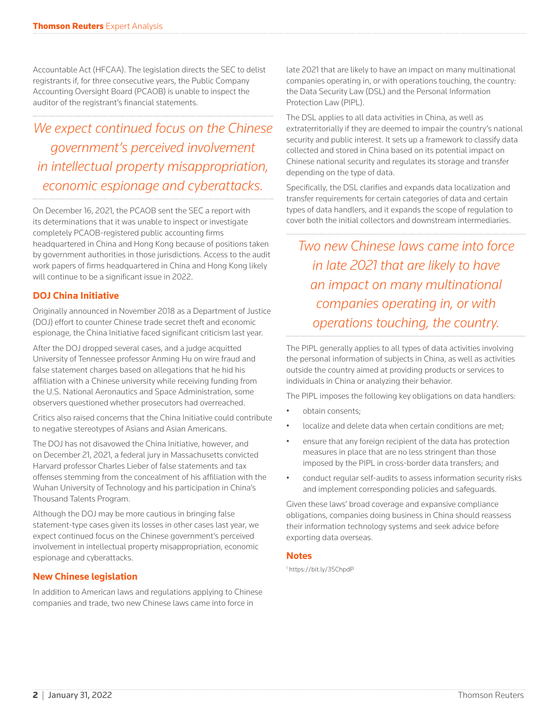Accountable Act (HFCAA). The legislation directs the SEC to delist registrants if, for three consecutive years, the Public Company Accounting Oversight Board (PCAOB) is unable to inspect the auditor of the registrant's financial statements.

# *We expect continued focus on the Chinese government's perceived involvement in intellectual property misappropriation, economic espionage and cyberattacks.*

On December 16, 2021, the PCAOB sent the SEC a report with its determinations that it was unable to inspect or investigate completely PCAOB-registered public accounting firms headquartered in China and Hong Kong because of positions taken by government authorities in those jurisdictions. Access to the audit work papers of firms headquartered in China and Hong Kong likely will continue to be a significant issue in 2022.

### **DOJ China Initiative**

Originally announced in November 2018 as a Department of Justice (DOJ) effort to counter Chinese trade secret theft and economic espionage, the China Initiative faced significant criticism last year.

After the DOJ dropped several cases, and a judge acquitted University of Tennessee professor Anming Hu on wire fraud and false statement charges based on allegations that he hid his affiliation with a Chinese university while receiving funding from the U.S. National Aeronautics and Space Administration, some observers questioned whether prosecutors had overreached.

Critics also raised concerns that the China Initiative could contribute to negative stereotypes of Asians and Asian Americans.

The DOJ has not disavowed the China Initiative, however, and on December 21, 2021, a federal jury in Massachusetts convicted Harvard professor Charles Lieber of false statements and tax offenses stemming from the concealment of his affiliation with the Wuhan University of Technology and his participation in China's Thousand Talents Program.

Although the DOJ may be more cautious in bringing false statement-type cases given its losses in other cases last year, we expect continued focus on the Chinese government's perceived involvement in intellectual property misappropriation, economic espionage and cyberattacks.

### **New Chinese legislation**

In addition to American laws and regulations applying to Chinese companies and trade, two new Chinese laws came into force in

late 2021 that are likely to have an impact on many multinational companies operating in, or with operations touching, the country: the Data Security Law (DSL) and the Personal Information Protection Law (PIPL).

The DSL applies to all data activities in China, as well as extraterritorially if they are deemed to impair the country's national security and public interest. It sets up a framework to classify data collected and stored in China based on its potential impact on Chinese national security and regulates its storage and transfer depending on the type of data.

Specifically, the DSL clarifies and expands data localization and transfer requirements for certain categories of data and certain types of data handlers, and it expands the scope of regulation to cover both the initial collectors and downstream intermediaries.

*Two new Chinese laws came into force in late 2021 that are likely to have an impact on many multinational companies operating in, or with operations touching, the country.*

The PIPL generally applies to all types of data activities involving the personal information of subjects in China, as well as activities outside the country aimed at providing products or services to individuals in China or analyzing their behavior.

The PIPL imposes the following key obligations on data handlers:

- obtain consents;
- localize and delete data when certain conditions are met;
- ensure that any foreign recipient of the data has protection measures in place that are no less stringent than those imposed by the PIPL in cross-border data transfers; and
- conduct regular self-audits to assess information security risks and implement corresponding policies and safeguards.

Given these laws' broad coverage and expansive compliance obligations, companies doing business in China should reassess their information technology systems and seek advice before exporting data overseas.

#### **Notes**

1 https://bit.ly/35ChpdP